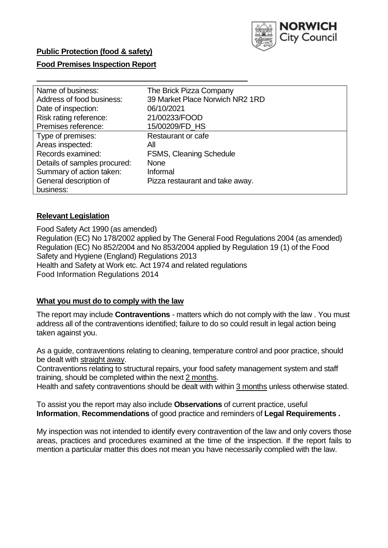

## **Public Protection (food & safety)**

### **Food Premises Inspection Report**

| Name of business:            | The Brick Pizza Company         |
|------------------------------|---------------------------------|
| Address of food business:    | 39 Market Place Norwich NR2 1RD |
| Date of inspection:          | 06/10/2021                      |
| Risk rating reference:       | 21/00233/FOOD                   |
| Premises reference:          | 15/00209/FD_HS                  |
| Type of premises:            | <b>Restaurant or cafe</b>       |
| Areas inspected:             | All                             |
| Records examined:            | <b>FSMS, Cleaning Schedule</b>  |
| Details of samples procured: | <b>None</b>                     |
| Summary of action taken:     | Informal                        |
| General description of       | Pizza restaurant and take away. |
| business:                    |                                 |

#### **Relevant Legislation**

 Food Safety Act 1990 (as amended) Regulation (EC) No 178/2002 applied by The General Food Regulations 2004 (as amended) Regulation (EC) No 852/2004 and No 853/2004 applied by Regulation 19 (1) of the Food Safety and Hygiene (England) Regulations 2013 Health and Safety at Work etc. Act 1974 and related regulations Food Information Regulations 2014

#### **What you must do to comply with the law**

 The report may include **Contraventions** - matters which do not comply with the law . You must address all of the contraventions identified; failure to do so could result in legal action being taken against you.

 As a guide, contraventions relating to cleaning, temperature control and poor practice, should be dealt with straight away.

 Contraventions relating to structural repairs, your food safety management system and staff training, should be completed within the next 2 months.

Health and safety contraventions should be dealt with within 3 months unless otherwise stated.

 To assist you the report may also include **Observations** of current practice, useful **Information**, **Recommendations** of good practice and reminders of **Legal Requirements .** 

 My inspection was not intended to identify every contravention of the law and only covers those areas, practices and procedures examined at the time of the inspection. If the report fails to mention a particular matter this does not mean you have necessarily complied with the law.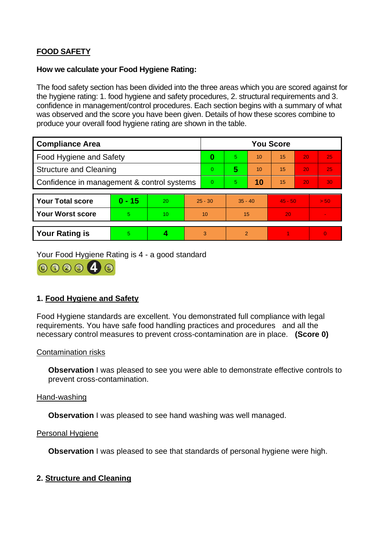# **FOOD SAFETY**

### **How we calculate your Food Hygiene Rating:**

 The food safety section has been divided into the three areas which you are scored against for the hygiene rating: 1. food hygiene and safety procedures, 2. structural requirements and 3. confidence in management/control procedures. Each section begins with a summary of what was observed and the score you have been given. Details of how these scores combine to produce your overall food hygiene rating are shown in the table.

| <b>Compliance Area</b>                     |          |    |                | <b>You Score</b> |                |    |           |    |          |  |  |
|--------------------------------------------|----------|----|----------------|------------------|----------------|----|-----------|----|----------|--|--|
| <b>Food Hygiene and Safety</b>             |          |    |                | 0                | 5.             | 10 | 15        | 20 | 25       |  |  |
| <b>Structure and Cleaning</b>              |          |    | $\overline{0}$ | 5                | 10             | 15 | 20        | 25 |          |  |  |
| Confidence in management & control systems |          |    | $\Omega$       | 5                | 10             | 15 | 20        | 30 |          |  |  |
|                                            |          |    |                |                  |                |    |           |    |          |  |  |
| <b>Your Total score</b>                    | $0 - 15$ | 20 | $25 - 30$      |                  | $35 - 40$      |    | $45 - 50$ |    | > 50     |  |  |
| <b>Your Worst score</b>                    | 5        | 10 | 10             |                  | 15             |    | 20        |    |          |  |  |
|                                            |          |    |                |                  |                |    |           |    |          |  |  |
| <b>Your Rating is</b>                      | 5        |    |                | 3                | $\overline{2}$ |    |           |    | $\Omega$ |  |  |

Your Food Hygiene Rating is 4 - a good standard



## **1. Food Hygiene and Safety**

 requirements. You have safe food handling practices and procedures and all the Food Hygiene standards are excellent. You demonstrated full compliance with legal necessary control measures to prevent cross-contamination are in place. **(Score 0)** 

### Contamination risks

**Observation** I was pleased to see you were able to demonstrate effective controls to prevent cross-contamination.

#### Hand-washing

**Observation** I was pleased to see hand washing was well managed.

#### Personal Hygiene

**Observation** I was pleased to see that standards of personal hygiene were high.

## **2. Structure and Cleaning**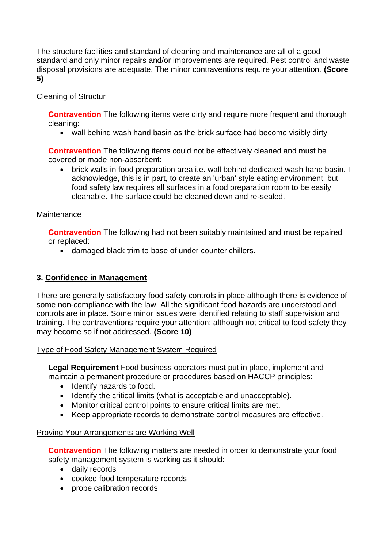The structure facilities and standard of cleaning and maintenance are all of a good standard and only minor repairs and/or improvements are required. Pest control and waste disposal provisions are adequate. The minor contraventions require your attention. **(Score 5)** 

## Cleaning of Structur

**Contravention** The following items were dirty and require more frequent and thorough cleaning:

• wall behind wash hand basin as the brick surface had become visibly dirty

**Contravention** The following items could not be effectively cleaned and must be covered or made non-absorbent:

 • brick walls in food preparation area i.e. wall behind dedicated wash hand basin. I food safety law requires all surfaces in a food preparation room to be easily acknowledge, this is in part, to create an 'urban' style eating environment, but cleanable. The surface could be cleaned down and re-sealed.

### **Maintenance**

**Contravention** The following had not been suitably maintained and must be repaired or replaced:

• damaged black trim to base of under counter chillers.

### **3. Confidence in Management**

There are generally satisfactory food safety controls in place although there is evidence of some non-compliance with the law. All the significant food hazards are understood and controls are in place. Some minor issues were identified relating to staff supervision and training. The contraventions require your attention; although not critical to food safety they may become so if not addressed. **(Score 10)** 

### Type of Food Safety Management System Required

 maintain a permanent procedure or procedures based on HACCP principles: **Legal Requirement** Food business operators must put in place, implement and

- Identify hazards to food.
- Identify the critical limits (what is acceptable and unacceptable).
- Monitor critical control points to ensure critical limits are met.
- Keep appropriate records to demonstrate control measures are effective.

### Proving Your Arrangements are Working Well

**Contravention** The following matters are needed in order to demonstrate your food safety management system is working as it should:

- daily records
- cooked food temperature records
- probe calibration records